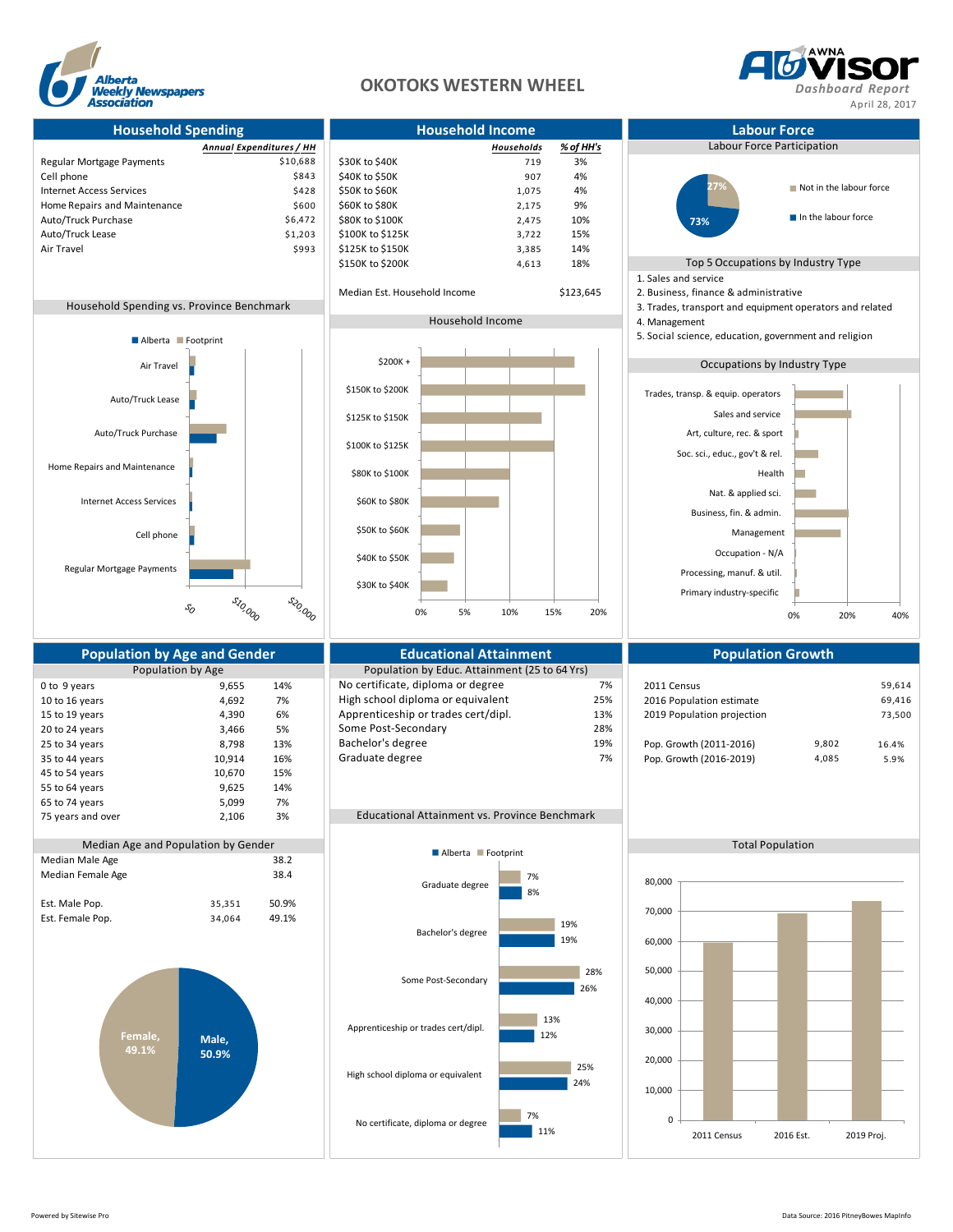

## **OKOTOKS WESTERN WHEEL** *Dashboard Report*